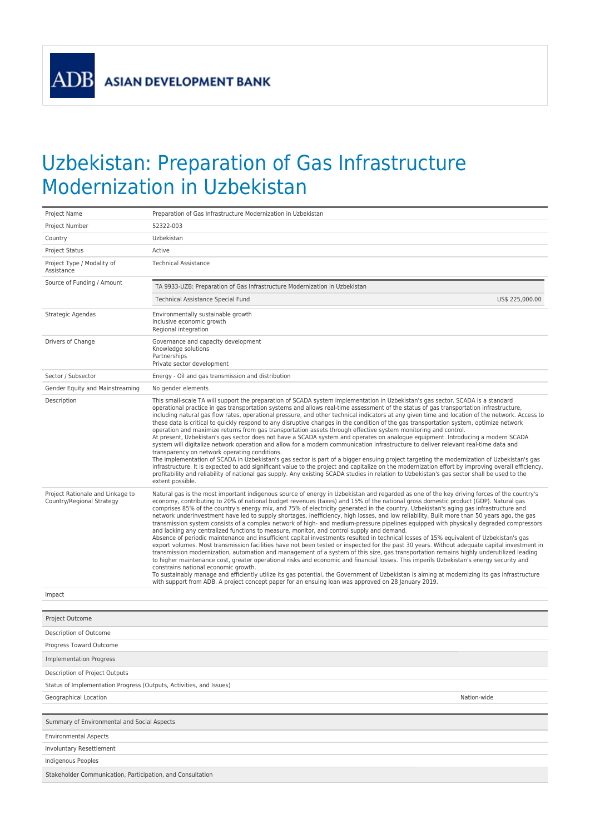**ADB** 

## Uzbekistan: Preparation of Gas Infrastructure Modernization in Uzbekistan

| Project Name                                                        | Preparation of Gas Infrastructure Modernization in Uzbekistan                                                                                                                                                                                                                                                                                                                                                                                                                                                                                                                                                                                                                                                                                                                                                                                                                                                                                                                                                                                                                                                                                                                                                                                                                                                                                                                                                                                                                                                                                                                                                                                                                                    |  |  |  |
|---------------------------------------------------------------------|--------------------------------------------------------------------------------------------------------------------------------------------------------------------------------------------------------------------------------------------------------------------------------------------------------------------------------------------------------------------------------------------------------------------------------------------------------------------------------------------------------------------------------------------------------------------------------------------------------------------------------------------------------------------------------------------------------------------------------------------------------------------------------------------------------------------------------------------------------------------------------------------------------------------------------------------------------------------------------------------------------------------------------------------------------------------------------------------------------------------------------------------------------------------------------------------------------------------------------------------------------------------------------------------------------------------------------------------------------------------------------------------------------------------------------------------------------------------------------------------------------------------------------------------------------------------------------------------------------------------------------------------------------------------------------------------------|--|--|--|
| Project Number                                                      | 52322-003                                                                                                                                                                                                                                                                                                                                                                                                                                                                                                                                                                                                                                                                                                                                                                                                                                                                                                                                                                                                                                                                                                                                                                                                                                                                                                                                                                                                                                                                                                                                                                                                                                                                                        |  |  |  |
| Country                                                             | Uzbekistan                                                                                                                                                                                                                                                                                                                                                                                                                                                                                                                                                                                                                                                                                                                                                                                                                                                                                                                                                                                                                                                                                                                                                                                                                                                                                                                                                                                                                                                                                                                                                                                                                                                                                       |  |  |  |
| <b>Project Status</b>                                               | Active                                                                                                                                                                                                                                                                                                                                                                                                                                                                                                                                                                                                                                                                                                                                                                                                                                                                                                                                                                                                                                                                                                                                                                                                                                                                                                                                                                                                                                                                                                                                                                                                                                                                                           |  |  |  |
| Project Type / Modality of<br>Assistance                            | <b>Technical Assistance</b>                                                                                                                                                                                                                                                                                                                                                                                                                                                                                                                                                                                                                                                                                                                                                                                                                                                                                                                                                                                                                                                                                                                                                                                                                                                                                                                                                                                                                                                                                                                                                                                                                                                                      |  |  |  |
| Source of Funding / Amount                                          | TA 9933-UZB: Preparation of Gas Infrastructure Modernization in Uzbekistan                                                                                                                                                                                                                                                                                                                                                                                                                                                                                                                                                                                                                                                                                                                                                                                                                                                                                                                                                                                                                                                                                                                                                                                                                                                                                                                                                                                                                                                                                                                                                                                                                       |  |  |  |
|                                                                     | Technical Assistance Special Fund<br>US\$ 225,000.00                                                                                                                                                                                                                                                                                                                                                                                                                                                                                                                                                                                                                                                                                                                                                                                                                                                                                                                                                                                                                                                                                                                                                                                                                                                                                                                                                                                                                                                                                                                                                                                                                                             |  |  |  |
| Strategic Agendas                                                   | Environmentally sustainable growth<br>Inclusive economic growth<br>Regional integration                                                                                                                                                                                                                                                                                                                                                                                                                                                                                                                                                                                                                                                                                                                                                                                                                                                                                                                                                                                                                                                                                                                                                                                                                                                                                                                                                                                                                                                                                                                                                                                                          |  |  |  |
| Drivers of Change                                                   | Governance and capacity development<br>Knowledge solutions<br>Partnerships<br>Private sector development                                                                                                                                                                                                                                                                                                                                                                                                                                                                                                                                                                                                                                                                                                                                                                                                                                                                                                                                                                                                                                                                                                                                                                                                                                                                                                                                                                                                                                                                                                                                                                                         |  |  |  |
| Sector / Subsector                                                  | Energy - Oil and gas transmission and distribution                                                                                                                                                                                                                                                                                                                                                                                                                                                                                                                                                                                                                                                                                                                                                                                                                                                                                                                                                                                                                                                                                                                                                                                                                                                                                                                                                                                                                                                                                                                                                                                                                                               |  |  |  |
| Gender Equity and Mainstreaming                                     | No gender elements                                                                                                                                                                                                                                                                                                                                                                                                                                                                                                                                                                                                                                                                                                                                                                                                                                                                                                                                                                                                                                                                                                                                                                                                                                                                                                                                                                                                                                                                                                                                                                                                                                                                               |  |  |  |
| Description                                                         | This small-scale TA will support the preparation of SCADA system implementation in Uzbekistan's gas sector. SCADA is a standard<br>operational practice in gas transportation systems and allows real-time assessment of the status of gas transportation infrastructure,<br>including natural gas flow rates, operational pressure, and other technical indicators at any given time and location of the network. Access to<br>these data is critical to quickly respond to any disruptive changes in the condition of the gas transportation system, optimize network<br>operation and maximize returns from gas transportation assets through effective system monitoring and control.<br>At present, Uzbekistan's gas sector does not have a SCADA system and operates on analogue equipment. Introducing a modern SCADA<br>system will digitalize network operation and allow for a modern communication infrastructure to deliver relevant real-time data and<br>transparency on network operating conditions.<br>The implementation of SCADA in Uzbekistan's gas sector is part of a bigger ensuing project targeting the modernization of Uzbekistan's gas<br>infrastructure. It is expected to add significant value to the project and capitalize on the modernization effort by improving overall efficiency,<br>profitability and reliability of national gas supply. Any existing SCADA studies in relation to Uzbekistan's gas sector shall be used to the<br>extent possible.                                                                                                                                                                                                     |  |  |  |
| Project Rationale and Linkage to<br>Country/Regional Strategy       | Natural gas is the most important indigenous source of energy in Uzbekistan and regarded as one of the key driving forces of the country's<br>economy, contributing to 20% of national budget revenues (taxes) and 15% of the national gross domestic product (GDP). Natural gas<br>comprises 85% of the country's energy mix, and 75% of electricity generated in the country. Uzbekistan's aging gas infrastructure and<br>network underinvestment have led to supply shortages, inefficiency, high losses, and low reliability. Built more than 50 years ago, the gas<br>transmission system consists of a complex network of high- and medium-pressure pipelines equipped with physically degraded compressors<br>and lacking any centralized functions to measure, monitor, and control supply and demand.<br>Absence of periodic maintenance and insufficient capital investments resulted in technical losses of 15% equivalent of Uzbekistan's gas<br>export volumes. Most transmission facilities have not been tested or inspected for the past 30 years. Without adequate capital investment in<br>transmission modernization, automation and management of a system of this size, gas transportation remains highly underutilized leading<br>to higher maintenance cost, greater operational risks and economic and financial losses. This imperils Uzbekistan's energy security and<br>constrains national economic growth.<br>To sustainably manage and efficiently utilize its gas potential, the Government of Uzbekistan is aiming at modernizing its gas infrastructure<br>with support from ADB. A project concept paper for an ensuing loan was approved on 28 January 2019. |  |  |  |
| Impact                                                              |                                                                                                                                                                                                                                                                                                                                                                                                                                                                                                                                                                                                                                                                                                                                                                                                                                                                                                                                                                                                                                                                                                                                                                                                                                                                                                                                                                                                                                                                                                                                                                                                                                                                                                  |  |  |  |
|                                                                     |                                                                                                                                                                                                                                                                                                                                                                                                                                                                                                                                                                                                                                                                                                                                                                                                                                                                                                                                                                                                                                                                                                                                                                                                                                                                                                                                                                                                                                                                                                                                                                                                                                                                                                  |  |  |  |
| Project Outcome                                                     |                                                                                                                                                                                                                                                                                                                                                                                                                                                                                                                                                                                                                                                                                                                                                                                                                                                                                                                                                                                                                                                                                                                                                                                                                                                                                                                                                                                                                                                                                                                                                                                                                                                                                                  |  |  |  |
| Description of Outcome                                              |                                                                                                                                                                                                                                                                                                                                                                                                                                                                                                                                                                                                                                                                                                                                                                                                                                                                                                                                                                                                                                                                                                                                                                                                                                                                                                                                                                                                                                                                                                                                                                                                                                                                                                  |  |  |  |
| Progress Toward Outcome                                             |                                                                                                                                                                                                                                                                                                                                                                                                                                                                                                                                                                                                                                                                                                                                                                                                                                                                                                                                                                                                                                                                                                                                                                                                                                                                                                                                                                                                                                                                                                                                                                                                                                                                                                  |  |  |  |
| <b>Implementation Progress</b>                                      |                                                                                                                                                                                                                                                                                                                                                                                                                                                                                                                                                                                                                                                                                                                                                                                                                                                                                                                                                                                                                                                                                                                                                                                                                                                                                                                                                                                                                                                                                                                                                                                                                                                                                                  |  |  |  |
| Description of Project Outputs                                      |                                                                                                                                                                                                                                                                                                                                                                                                                                                                                                                                                                                                                                                                                                                                                                                                                                                                                                                                                                                                                                                                                                                                                                                                                                                                                                                                                                                                                                                                                                                                                                                                                                                                                                  |  |  |  |
| Status of Implementation Progress (Outputs, Activities, and Issues) |                                                                                                                                                                                                                                                                                                                                                                                                                                                                                                                                                                                                                                                                                                                                                                                                                                                                                                                                                                                                                                                                                                                                                                                                                                                                                                                                                                                                                                                                                                                                                                                                                                                                                                  |  |  |  |
| Geographical Location                                               | Nation-wide                                                                                                                                                                                                                                                                                                                                                                                                                                                                                                                                                                                                                                                                                                                                                                                                                                                                                                                                                                                                                                                                                                                                                                                                                                                                                                                                                                                                                                                                                                                                                                                                                                                                                      |  |  |  |
|                                                                     |                                                                                                                                                                                                                                                                                                                                                                                                                                                                                                                                                                                                                                                                                                                                                                                                                                                                                                                                                                                                                                                                                                                                                                                                                                                                                                                                                                                                                                                                                                                                                                                                                                                                                                  |  |  |  |
| Summary of Environmental and Social Aspects                         |                                                                                                                                                                                                                                                                                                                                                                                                                                                                                                                                                                                                                                                                                                                                                                                                                                                                                                                                                                                                                                                                                                                                                                                                                                                                                                                                                                                                                                                                                                                                                                                                                                                                                                  |  |  |  |
| <b>Environmental Aspects</b>                                        |                                                                                                                                                                                                                                                                                                                                                                                                                                                                                                                                                                                                                                                                                                                                                                                                                                                                                                                                                                                                                                                                                                                                                                                                                                                                                                                                                                                                                                                                                                                                                                                                                                                                                                  |  |  |  |
| Involuntary Resettlement                                            |                                                                                                                                                                                                                                                                                                                                                                                                                                                                                                                                                                                                                                                                                                                                                                                                                                                                                                                                                                                                                                                                                                                                                                                                                                                                                                                                                                                                                                                                                                                                                                                                                                                                                                  |  |  |  |
| Indigenous Peoples                                                  |                                                                                                                                                                                                                                                                                                                                                                                                                                                                                                                                                                                                                                                                                                                                                                                                                                                                                                                                                                                                                                                                                                                                                                                                                                                                                                                                                                                                                                                                                                                                                                                                                                                                                                  |  |  |  |
| Stakeholder Communication, Participation, and Consultation          |                                                                                                                                                                                                                                                                                                                                                                                                                                                                                                                                                                                                                                                                                                                                                                                                                                                                                                                                                                                                                                                                                                                                                                                                                                                                                                                                                                                                                                                                                                                                                                                                                                                                                                  |  |  |  |